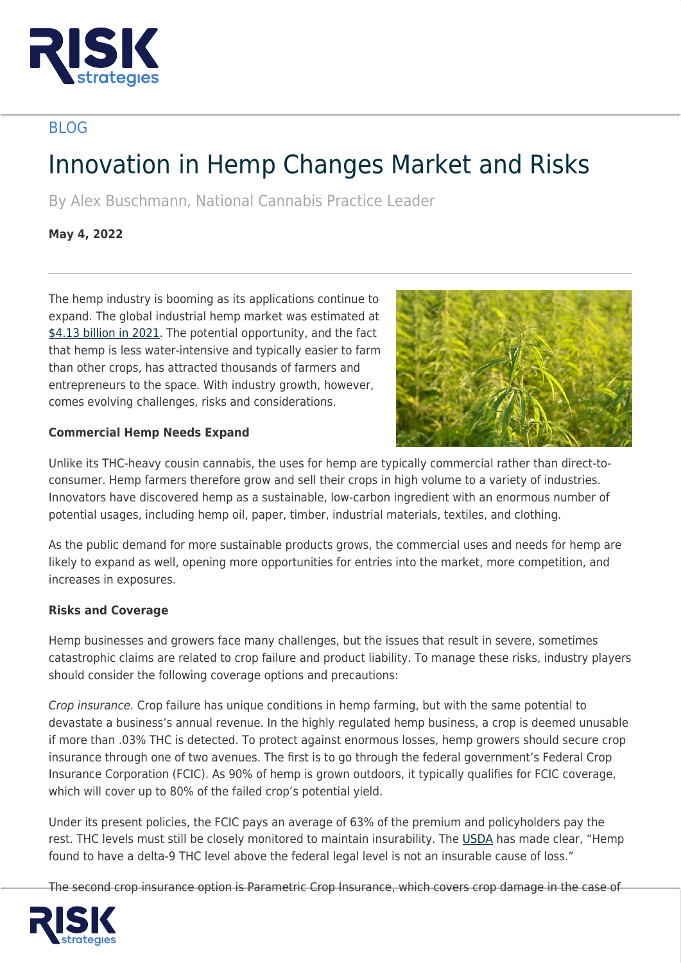

## BLOG

# Innovation in Hemp Changes Market and Risks

By Alex Buschmann, National Cannabis Practice Leader

**May 4, 2022**

The hemp industry is booming as its applications continue to expand. The global industrial hemp market was estimated at [\\$4.13 billion in 2021.](https://www.grandviewresearch.com/industry-analysis/industrial-hemp-market) The potential opportunity, and the fact that hemp is less water-intensive and typically easier to farm than other crops, has attracted thousands of farmers and entrepreneurs to the space. With industry growth, however, comes evolving challenges, risks and considerations.



### **Commercial Hemp Needs Expand**

Unlike its THC-heavy cousin cannabis, the uses for hemp are typically commercial rather than direct-toconsumer. Hemp farmers therefore grow and sell their crops in high volume to a variety of industries. Innovators have discovered hemp as a sustainable, low-carbon ingredient with an enormous number of potential usages, including hemp oil, paper, timber, industrial materials, textiles, and clothing.

As the public demand for more sustainable products grows, the commercial uses and needs for hemp are likely to expand as well, opening more opportunities for entries into the market, more competition, and increases in exposures.

### **Risks and Coverage**

Hemp businesses and growers face many challenges, but the issues that result in severe, sometimes catastrophic claims are related to crop failure and product liability. To manage these risks, industry players should consider the following coverage options and precautions:

Crop insurance. Crop failure has unique conditions in hemp farming, but with the same potential to devastate a business's annual revenue. In the highly regulated hemp business, a crop is deemed unusable if more than .03% THC is detected. To protect against enormous losses, hemp growers should secure crop insurance through one of two avenues. The first is to go through the federal government's Federal Crop Insurance Corporation (FCIC). As 90% of hemp is grown outdoors, it typically qualifies for FCIC coverage, which will cover up to 80% of the failed crop's potential yield.

Under its present policies, the FCIC pays an average of 63% of the premium and policyholders pay the rest. THC levels must still be closely monitored to maintain insurability. The [USDA](https://crsreports.congress.gov/) has made clear, "Hemp found to have a delta-9 THC level above the federal legal level is not an insurable cause of loss."

The second crop insurance option is Parametric Crop Insurance, which covers crop damage in the case of